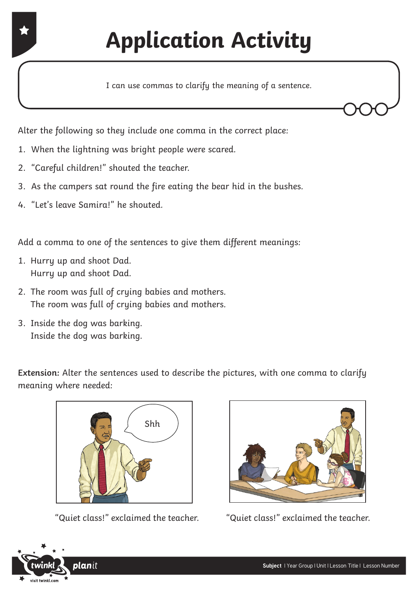Alter the following so they include one comma in the correct place:

- 1. When the lightning was bright people were scared.
- 2. "Careful children!" shouted the teacher.
- 3. As the campers sat round the fire eating the bear hid in the bushes.
- 4. "Let's leave Samira!" he shouted.

Add a comma to one of the sentences to give them different meanings:

- 1. Hurry up and shoot Dad. Hurry up and shoot Dad.
- 2. The room was full of crying babies and mothers. The room was full of crying babies and mothers.
- 3. Inside the dog was barking. Inside the dog was barking.

**Extension:** Alter the sentences used to describe the pictures, with one comma to clarify meaning where needed:



"Quiet class!" exclaimed the teacher. "Quiet class!" exclaimed the teacher.



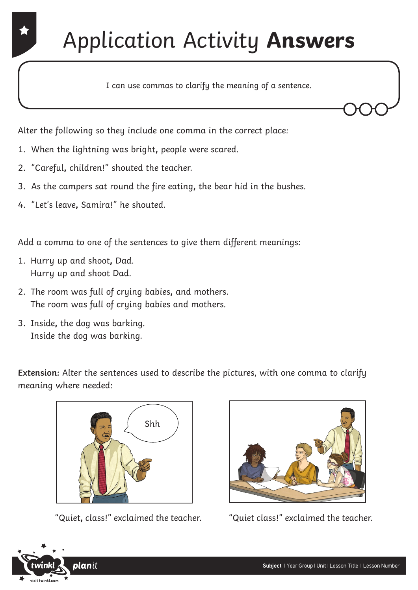## Application Activity **Answers**

I can use commas to clarify the meaning of a sentence.

Alter the following so they include one comma in the correct place:

- 1. When the lightning was bright**,** people were scared.
- 2. "Careful**,** children!" shouted the teacher.
- 3. As the campers sat round the fire eating**,** the bear hid in the bushes.
- 4. "Let's leave**,** Samira!" he shouted.

Add a comma to one of the sentences to give them different meanings:

- 1. Hurry up and shoot**,** Dad. Hurry up and shoot Dad.
- 2. The room was full of crying babies**,** and mothers. The room was full of crying babies and mothers.
- 3. Inside**,** the dog was barking. Inside the dog was barking.

**Extension:** Alter the sentences used to describe the pictures, with one comma to clarify meaning where needed:



"Quiet**,** class!" exclaimed the teacher. "Quiet class!" exclaimed the teacher.



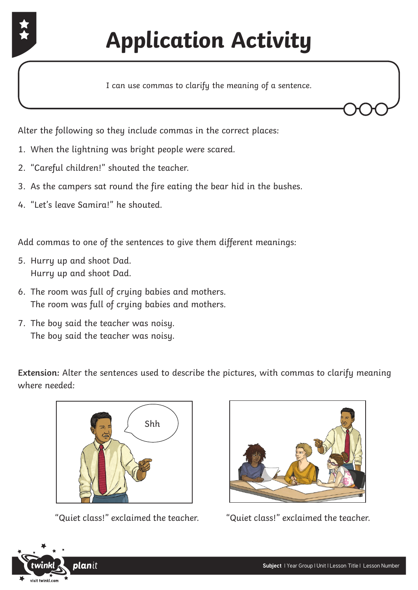

Alter the following so they include commas in the correct places:

- 1. When the lightning was bright people were scared.
- 2. "Careful children!" shouted the teacher.
- 3. As the campers sat round the fire eating the bear hid in the bushes.
- 4. "Let's leave Samira!" he shouted.

Add commas to one of the sentences to give them different meanings:

- 5. Hurry up and shoot Dad. Hurry up and shoot Dad.
- 6. The room was full of crying babies and mothers. The room was full of crying babies and mothers.
- 7. The boy said the teacher was noisy. The boy said the teacher was noisy.

**Extension:** Alter the sentences used to describe the pictures, with commas to clarify meaning where needed:



"Quiet class!" exclaimed the teacher. "Quiet class!" exclaimed the teacher.



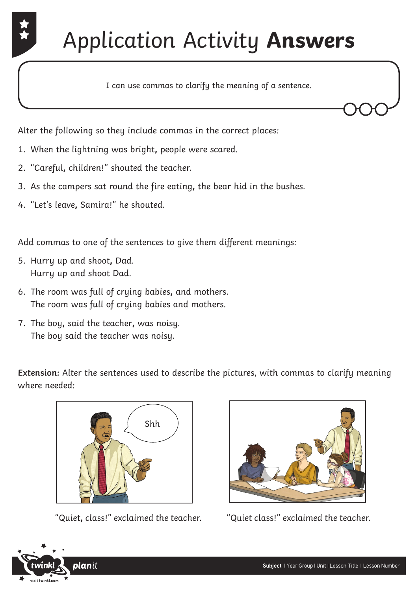## Application Activity **Answers**

I can use commas to clarify the meaning of a sentence.

Alter the following so they include commas in the correct places:

- 1. When the lightning was bright**,** people were scared.
- 2. "Careful**,** children!" shouted the teacher.
- 3. As the campers sat round the fire eating**,** the bear hid in the bushes.
- 4. "Let's leave**,** Samira!" he shouted.

Add commas to one of the sentences to give them different meanings:

- 5. Hurry up and shoot**,** Dad. Hurry up and shoot Dad.
- 6. The room was full of crying babies**,** and mothers. The room was full of crying babies and mothers.
- 7. The boy**,** said the teacher**,** was noisy. The boy said the teacher was noisy.

**Extension:** Alter the sentences used to describe the pictures, with commas to clarify meaning where needed:



"Quiet**,** class!" exclaimed the teacher. "Quiet class!" exclaimed the teacher.



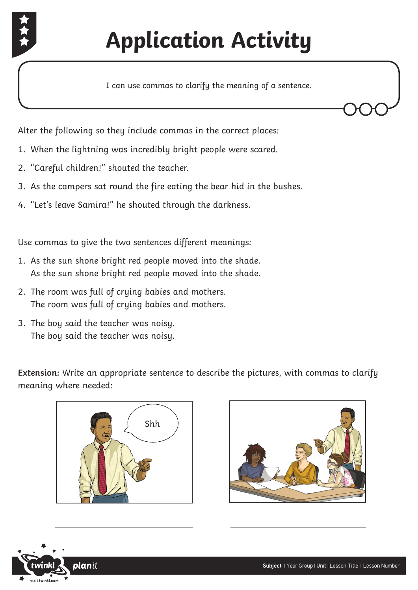

Alter the following so they include commas in the correct places:

- 1. When the lightning was incredibly bright people were scared.
- 2. "Careful children!" shouted the teacher.
- 3. As the campers sat round the fire eating the bear hid in the bushes.
- 4. "Let's leave Samira!" he shouted through the darkness.

Use commas to give the two sentences different meanings:

- 1. As the sun shone bright red people moved into the shade. As the sun shone bright red people moved into the shade.
- 2. The room was full of crying babies and mothers. The room was full of crying babies and mothers.
- 3. The boy said the teacher was noisy. The boy said the teacher was noisy.

**Extension:** Write an appropriate sentence to describe the pictures, with commas to clarify meaning where needed:







 $\overline{a}$